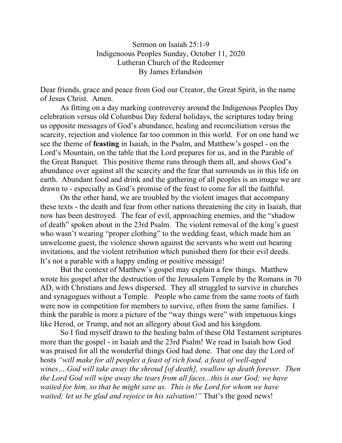Sermon on Isaiah 25:1-9 Indigenoous Peoples Sunday, October 11, 2020 Lutheran Church of the Redeemer By James Erlandson

Dear friends, grace and peace from God our Creator, the Great Spirit, in the name of Jesus Christ. Amen.

As fitting on a day marking controversy around the Indigenous Peoples Day celebration versus old Columbus Day federal holidays, the scriptures today bring us opposite messages of God's abundance, healing and reconciliation versus the scarcity, rejection and violence far too common in this world. For on one hand we see the theme of **feasting** in Isaiah, in the Psalm, and Matthew's gospel - on the Lord's Mountain, on the table that the Lord prepares for us, and in the Parable of the Great Banquet. This positive theme runs through them all, and shows God's abundance over against all the scarcity and the fear that surrounds us in this life on earth. Abundant food and drink and the gathering of all peoples is an image we are drawn to - especially as God's promise of the feast to come for all the faithful.

On the other hand, we are troubled by the violent images that accompany these texts - the death and fear from other nations threatening the city in Isaiah, that now has been destroyed. The fear of evil, approaching enemies, and the "shadow of death" spoken about in the 23rd Psalm. The violent removal of the king's guest who wasn't wearing "proper clothing" to the wedding feast, which made him an unwelcome guest, the violence shown against the servants who went out bearing invitations, and the violent retribution which punished them for their evil deeds. It's not a parable with a happy ending or positive message!

But the context of Matthew's gospel may explain a few things. Matthew wrote his gospel after the destruction of the Jerusalem Temple by the Romans in 70 AD, with Christians and Jews dispersed. They all struggled to survive in churches and synagogues without a Temple. People who came from the same roots of faith were now in competition for members to survive, often from the same families. I think the parable is more a picture of the "way things were" with impetuous kings like Herod, or Trump, and not an allegory about God and his kingdom.

So I find myself drawn to the healing balm of these Old Testament scriptures more than the gospel - in Isaiah and the 23rd Psalm! We read in Isaiah how God was praised for all the wonderful things God had done. That one day the Lord of hosts *"will make for all peoples a feast of rich food, a feast of well-aged wines….God will take away the shroud [of death], swallow up death forever. Then the Lord God will wipe away the tears from all faces...this is our God; we have waited for him, so that he might save us. This is the Lord for whom we have waited; let us be glad and rejoice in his salvation!"* That's the good news!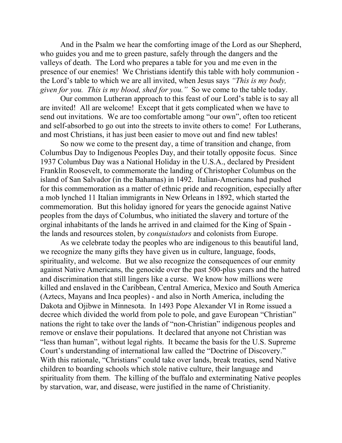And in the Psalm we hear the comforting image of the Lord as our Shepherd, who guides you and me to green pasture, safely through the dangers and the valleys of death. The Lord who prepares a table for you and me even in the presence of our enemies! We Christians identify this table with holy communion the Lord's table to which we are all invited, when Jesus says *"This is my body, given for you. This is my blood, shed for you."* So we come to the table today.

Our common Lutheran approach to this feast of our Lord's table is to say all are invited! All are welcome! Except that it gets complicated when we have to send out invitations. We are too comfortable among "our own", often too reticent and self-absorbed to go out into the streets to invite others to come! For Lutherans, and most Christians, it has just been easier to move out and find new tables!

So now we come to the present day, a time of transition and change, from Columbus Day to Indigenous Peoples Day, and their totally opposite focus. Since 1937 Columbus Day was a National Holiday in the U.S.A., declared by President Franklin Roosevelt, to commemorate the landing of Christopher Columbus on the island of San Salvador (in the Bahamas) in 1492. Italian-Americans had pushed for this commemoration as a matter of ethnic pride and recognition, especially after a mob lynched 11 Italian immigrants in New Orleans in 1892, which started the commemoration. But this holiday ignored for years the genocide against Native peoples from the days of Columbus, who initiated the slavery and torture of the orginal inhabitants of the lands he arrived in and claimed for the King of Spain the lands and resources stolen, by *conquistadors* and colonists from Europe.

As we celebrate today the peoples who are indigenous to this beautiful land, we recognize the many gifts they have given us in culture, language, foods, spirituality, and welcome. But we also recognize the consequences of our enmity against Native Americans, the genocide over the past 500-plus years and the hatred and discrimination that still lingers like a curse. We know how millions were killed and enslaved in the Caribbean, Central America, Mexico and South America (Aztecs, Mayans and Inca peoples) - and also in North America, including the Dakota and Ojibwe in Minnesota. In 1493 Pope Alexander VI in Rome issued a decree which divided the world from pole to pole, and gave European "Christian" nations the right to take over the lands of "non-Christian" indigenous peoples and remove or enslave their populations. It declared that anyone not Christian was "less than human", without legal rights. It became the basis for the U.S. Supreme Court's understanding of international law called the "Doctrine of Discovery." With this rationale, "Christians" could take over lands, break treaties, send Native children to boarding schools which stole native culture, their language and spirituality from them. The killing of the buffalo and exterminating Native peoples by starvation, war, and disease, were justified in the name of Christianity.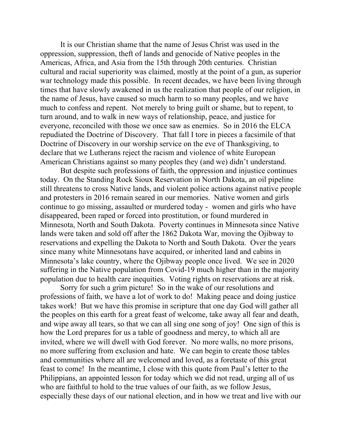It is our Christian shame that the name of Jesus Christ was used in the oppression, suppression, theft of lands and genocide of Native peoples in the Americas, Africa, and Asia from the 15th through 20th centuries. Christian cultural and racial superiority was claimed, mostly at the point of a gun, as superior war technology made this possible. In recent decades, we have been living through times that have slowly awakened in us the realization that people of our religion, in the name of Jesus, have caused so much harm to so many peoples, and we have much to confess and repent. Not merely to bring guilt or shame, but to repent, to turn around, and to walk in new ways of relationship, peace, and justice for everyone, reconciled with those we once saw as enemies. So in 2016 the ELCA repudiated the Doctrine of Discovery. That fall I tore in pieces a facsimile of that Doctrine of Discovery in our worship service on the eve of Thanksgiving, to declare that we Lutherans reject the racism and violence of white European American Christians against so many peoples they (and we) didn't understand.

But despite such professions of faith, the oppression and injustice continues today. On the Standing Rock Sioux Reservation in North Dakota, an oil pipeline still threatens to cross Native lands, and violent police actions against native people and protesters in 2016 remain seared in our memories. Native women and girls continue to go missing, assaulted or murdered today - women and girls who have disappeared, been raped or forced into prostitution, or found murdered in Minnesota, North and South Dakota. Poverty continues in Minnesota since Native lands were taken and sold off after the 1862 Dakota War, moving the Ojibway to reservations and expelling the Dakota to North and South Dakota. Over the years since many white Minnesotans have acquired, or inherited land and cabins in Minnesota's lake country, where the Ojibway people once lived. We see in 2020 suffering in the Native population from Covid-19 much higher than in the majority population due to health care inequities. Voting rights on reservations are at risk.

Sorry for such a grim picture! So in the wake of our resolutions and professions of faith, we have a lot of work to do! Making peace and doing justice takes work! But we have this promise in scripture that one day God will gather all the peoples on this earth for a great feast of welcome, take away all fear and death, and wipe away all tears, so that we can all sing one song of joy! One sign of this is how the Lord prepares for us a table of goodness and mercy, to which all are invited, where we will dwell with God forever. No more walls, no more prisons, no more suffering from exclusion and hate. We can begin to create those tables and communities where all are welcomed and loved, as a foretaste of this great feast to come! In the meantime, I close with this quote from Paul's letter to the Philippians, an appointed lesson for today which we did not read, urging all of us who are faithful to hold to the true values of our faith, as we follow Jesus, especially these days of our national election, and in how we treat and live with our